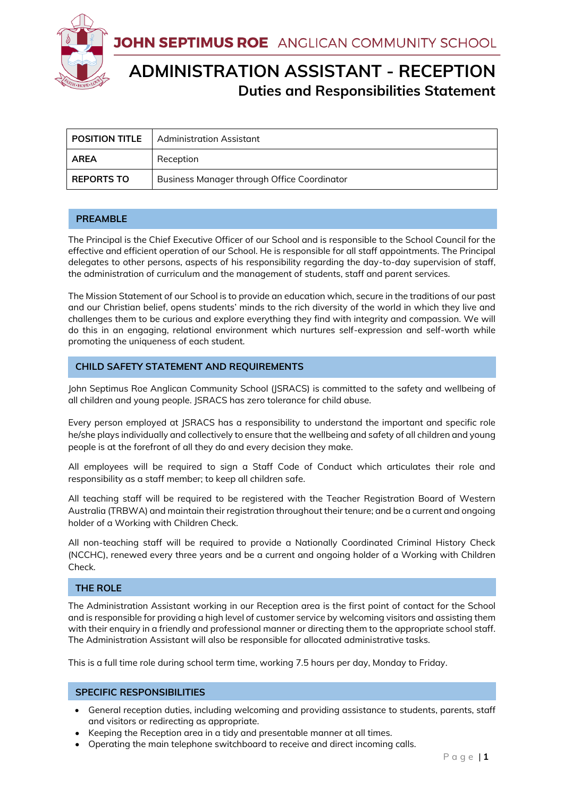JOHN SEPTIMUS ROE ANGLICAN COMMUNITY SCHOOL



# **ADMINISTRATION ASSISTANT - RECEPTION Duties and Responsibilities Statement**

| <b>POSITION TITLE</b> | Administration Assistant                    |
|-----------------------|---------------------------------------------|
| <b>AREA</b>           | Reception                                   |
| <b>REPORTS TO</b>     | Business Manager through Office Coordinator |

## **PREAMBLE**

The Principal is the Chief Executive Officer of our School and is responsible to the School Council for the effective and efficient operation of our School. He is responsible for all staff appointments. The Principal delegates to other persons, aspects of his responsibility regarding the day-to-day supervision of staff, the administration of curriculum and the management of students, staff and parent services.

The Mission Statement of our School is to provide an education which, secure in the traditions of our past and our Christian belief, opens students' minds to the rich diversity of the world in which they live and challenges them to be curious and explore everything they find with integrity and compassion. We will do this in an engaging, relational environment which nurtures self-expression and self-worth while promoting the uniqueness of each student.

## **CHILD SAFETY STATEMENT AND REQUIREMENTS**

John Septimus Roe Anglican Community School (JSRACS) is committed to the safety and wellbeing of all children and young people. JSRACS has zero tolerance for child abuse.

Every person employed at JSRACS has a responsibility to understand the important and specific role he/she plays individually and collectively to ensure that the wellbeing and safety of all children and young people is at the forefront of all they do and every decision they make.

All employees will be required to sign a Staff Code of Conduct which articulates their role and responsibility as a staff member; to keep all children safe.

All teaching staff will be required to be registered with the Teacher Registration Board of Western Australia (TRBWA) and maintain their registration throughout their tenure; and be a current and ongoing holder of a Working with Children Check.

All non-teaching staff will be required to provide a Nationally Coordinated Criminal History Check (NCCHC), renewed every three years and be a current and ongoing holder of a Working with Children Check.

### **THE ROLE**

The Administration Assistant working in our Reception area is the first point of contact for the School and is responsible for providing a high level of customer service by welcoming visitors and assisting them with their enquiry in a friendly and professional manner or directing them to the appropriate school staff. The Administration Assistant will also be responsible for allocated administrative tasks.

This is a full time role during school term time, working 7.5 hours per day, Monday to Friday.

## **SPECIFIC RESPONSIBILITIES**

- General reception duties, including welcoming and providing assistance to students, parents, staff and visitors or redirecting as appropriate.
- Keeping the Reception area in a tidy and presentable manner at all times.
- Operating the main telephone switchboard to receive and direct incoming calls.